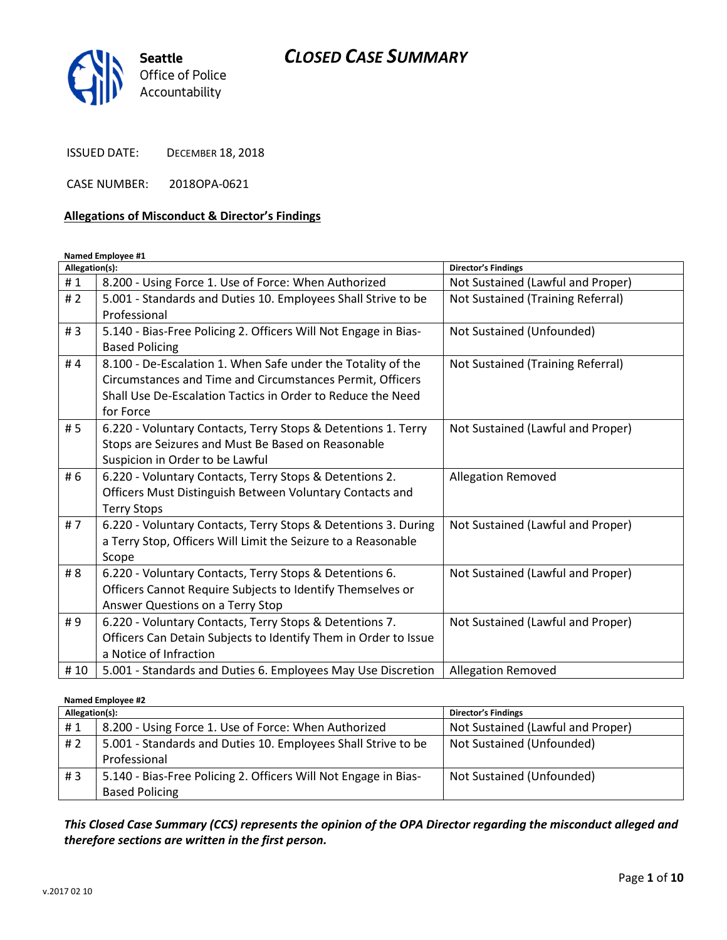

ISSUED DATE: DECEMBER 18, 2018

CASE NUMBER: 2018OPA-0621

#### Allegations of Misconduct & Director's Findings

### Named Employee #1

| Allegation(s): |                                                                 | <b>Director's Findings</b>        |
|----------------|-----------------------------------------------------------------|-----------------------------------|
| #1             | 8.200 - Using Force 1. Use of Force: When Authorized            | Not Sustained (Lawful and Proper) |
| #2             | 5.001 - Standards and Duties 10. Employees Shall Strive to be   | Not Sustained (Training Referral) |
|                | Professional                                                    |                                   |
| #3             | 5.140 - Bias-Free Policing 2. Officers Will Not Engage in Bias- | Not Sustained (Unfounded)         |
|                | <b>Based Policing</b>                                           |                                   |
| #4             | 8.100 - De-Escalation 1. When Safe under the Totality of the    | Not Sustained (Training Referral) |
|                | Circumstances and Time and Circumstances Permit, Officers       |                                   |
|                | Shall Use De-Escalation Tactics in Order to Reduce the Need     |                                   |
|                | for Force                                                       |                                   |
| # 5            | 6.220 - Voluntary Contacts, Terry Stops & Detentions 1. Terry   | Not Sustained (Lawful and Proper) |
|                | Stops are Seizures and Must Be Based on Reasonable              |                                   |
|                | Suspicion in Order to be Lawful                                 |                                   |
| # 6            | 6.220 - Voluntary Contacts, Terry Stops & Detentions 2.         | <b>Allegation Removed</b>         |
|                | Officers Must Distinguish Between Voluntary Contacts and        |                                   |
|                | <b>Terry Stops</b>                                              |                                   |
| #7             | 6.220 - Voluntary Contacts, Terry Stops & Detentions 3. During  | Not Sustained (Lawful and Proper) |
|                | a Terry Stop, Officers Will Limit the Seizure to a Reasonable   |                                   |
|                | Scope                                                           |                                   |
| # 8            | 6.220 - Voluntary Contacts, Terry Stops & Detentions 6.         | Not Sustained (Lawful and Proper) |
|                | Officers Cannot Require Subjects to Identify Themselves or      |                                   |
|                | Answer Questions on a Terry Stop                                |                                   |
| #9             | 6.220 - Voluntary Contacts, Terry Stops & Detentions 7.         | Not Sustained (Lawful and Proper) |
|                | Officers Can Detain Subjects to Identify Them in Order to Issue |                                   |
|                | a Notice of Infraction                                          |                                   |
| #10            | 5.001 - Standards and Duties 6. Employees May Use Discretion    | <b>Allegation Removed</b>         |

#### Named Employee #2

| Allegation(s): |                                                                 | <b>Director's Findings</b>        |
|----------------|-----------------------------------------------------------------|-----------------------------------|
| #1             | 8.200 - Using Force 1. Use of Force: When Authorized            | Not Sustained (Lawful and Proper) |
| # 2            | 5.001 - Standards and Duties 10. Employees Shall Strive to be   | Not Sustained (Unfounded)         |
|                | Professional                                                    |                                   |
| #3             | 5.140 - Bias-Free Policing 2. Officers Will Not Engage in Bias- | Not Sustained (Unfounded)         |
|                | <b>Based Policing</b>                                           |                                   |

This Closed Case Summary (CCS) represents the opinion of the OPA Director regarding the misconduct alleged and therefore sections are written in the first person.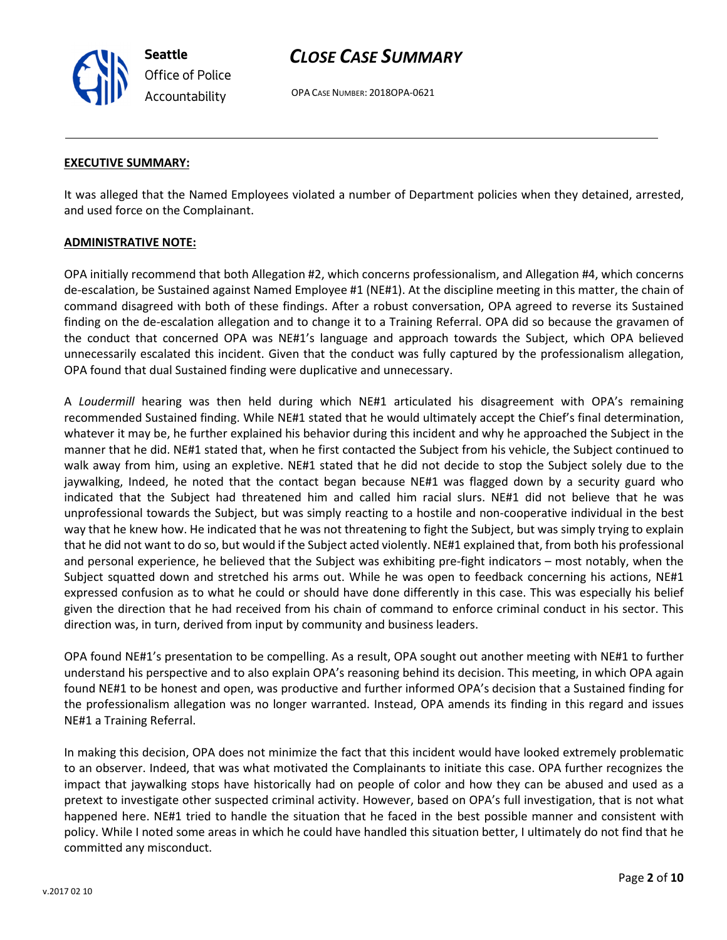Seattle Office of Police Accountability

# CLOSE CASE SUMMARY

OPA CASE NUMBER: 2018OPA-0621

#### EXECUTIVE SUMMARY:

It was alleged that the Named Employees violated a number of Department policies when they detained, arrested, and used force on the Complainant.

### ADMINISTRATIVE NOTE:

OPA initially recommend that both Allegation #2, which concerns professionalism, and Allegation #4, which concerns de-escalation, be Sustained against Named Employee #1 (NE#1). At the discipline meeting in this matter, the chain of command disagreed with both of these findings. After a robust conversation, OPA agreed to reverse its Sustained finding on the de-escalation allegation and to change it to a Training Referral. OPA did so because the gravamen of the conduct that concerned OPA was NE#1's language and approach towards the Subject, which OPA believed unnecessarily escalated this incident. Given that the conduct was fully captured by the professionalism allegation, OPA found that dual Sustained finding were duplicative and unnecessary.

A Loudermill hearing was then held during which NE#1 articulated his disagreement with OPA's remaining recommended Sustained finding. While NE#1 stated that he would ultimately accept the Chief's final determination, whatever it may be, he further explained his behavior during this incident and why he approached the Subject in the manner that he did. NE#1 stated that, when he first contacted the Subject from his vehicle, the Subject continued to walk away from him, using an expletive. NE#1 stated that he did not decide to stop the Subject solely due to the jaywalking, Indeed, he noted that the contact began because NE#1 was flagged down by a security guard who indicated that the Subject had threatened him and called him racial slurs. NE#1 did not believe that he was unprofessional towards the Subject, but was simply reacting to a hostile and non-cooperative individual in the best way that he knew how. He indicated that he was not threatening to fight the Subject, but was simply trying to explain that he did not want to do so, but would if the Subject acted violently. NE#1 explained that, from both his professional and personal experience, he believed that the Subject was exhibiting pre-fight indicators – most notably, when the Subject squatted down and stretched his arms out. While he was open to feedback concerning his actions, NE#1 expressed confusion as to what he could or should have done differently in this case. This was especially his belief given the direction that he had received from his chain of command to enforce criminal conduct in his sector. This direction was, in turn, derived from input by community and business leaders.

OPA found NE#1's presentation to be compelling. As a result, OPA sought out another meeting with NE#1 to further understand his perspective and to also explain OPA's reasoning behind its decision. This meeting, in which OPA again found NE#1 to be honest and open, was productive and further informed OPA's decision that a Sustained finding for the professionalism allegation was no longer warranted. Instead, OPA amends its finding in this regard and issues NE#1 a Training Referral.

In making this decision, OPA does not minimize the fact that this incident would have looked extremely problematic to an observer. Indeed, that was what motivated the Complainants to initiate this case. OPA further recognizes the impact that jaywalking stops have historically had on people of color and how they can be abused and used as a pretext to investigate other suspected criminal activity. However, based on OPA's full investigation, that is not what happened here. NE#1 tried to handle the situation that he faced in the best possible manner and consistent with policy. While I noted some areas in which he could have handled this situation better, I ultimately do not find that he committed any misconduct.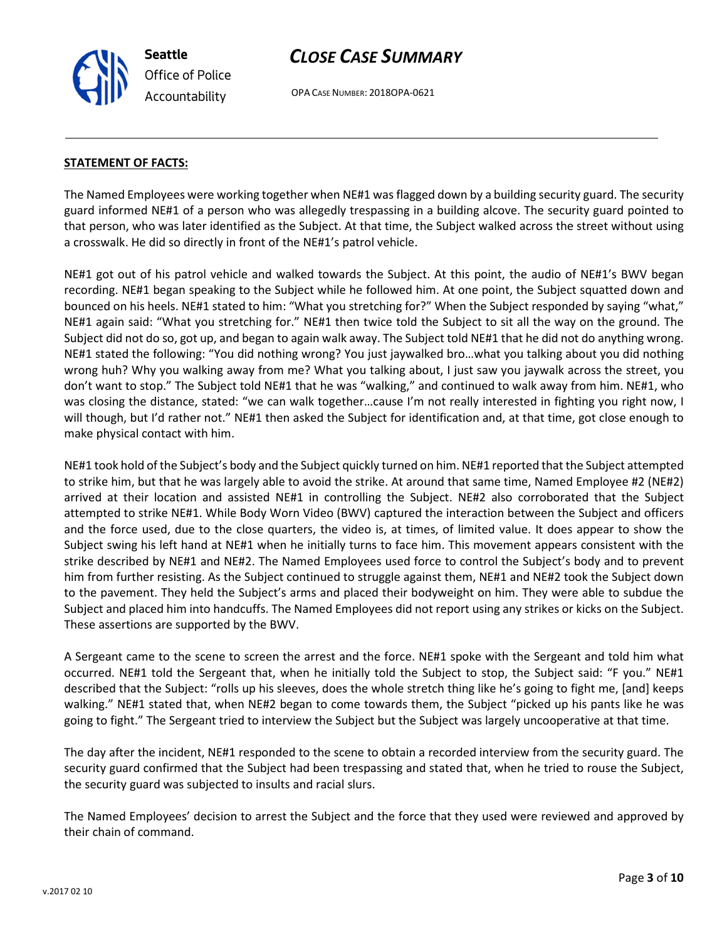OPA CASE NUMBER: 2018OPA-0621

#### STATEMENT OF FACTS:

Seattle

Office of Police Accountability

The Named Employees were working together when NE#1 was flagged down by a building security guard. The security guard informed NE#1 of a person who was allegedly trespassing in a building alcove. The security guard pointed to that person, who was later identified as the Subject. At that time, the Subject walked across the street without using a crosswalk. He did so directly in front of the NE#1's patrol vehicle.

NE#1 got out of his patrol vehicle and walked towards the Subject. At this point, the audio of NE#1's BWV began recording. NE#1 began speaking to the Subject while he followed him. At one point, the Subject squatted down and bounced on his heels. NE#1 stated to him: "What you stretching for?" When the Subject responded by saying "what," NE#1 again said: "What you stretching for." NE#1 then twice told the Subject to sit all the way on the ground. The Subject did not do so, got up, and began to again walk away. The Subject told NE#1 that he did not do anything wrong. NE#1 stated the following: "You did nothing wrong? You just jaywalked bro…what you talking about you did nothing wrong huh? Why you walking away from me? What you talking about, I just saw you jaywalk across the street, you don't want to stop." The Subject told NE#1 that he was "walking," and continued to walk away from him. NE#1, who was closing the distance, stated: "we can walk together…cause I'm not really interested in fighting you right now, I will though, but I'd rather not." NE#1 then asked the Subject for identification and, at that time, got close enough to make physical contact with him.

NE#1 took hold of the Subject's body and the Subject quickly turned on him. NE#1 reported that the Subject attempted to strike him, but that he was largely able to avoid the strike. At around that same time, Named Employee #2 (NE#2) arrived at their location and assisted NE#1 in controlling the Subject. NE#2 also corroborated that the Subject attempted to strike NE#1. While Body Worn Video (BWV) captured the interaction between the Subject and officers and the force used, due to the close quarters, the video is, at times, of limited value. It does appear to show the Subject swing his left hand at NE#1 when he initially turns to face him. This movement appears consistent with the strike described by NE#1 and NE#2. The Named Employees used force to control the Subject's body and to prevent him from further resisting. As the Subject continued to struggle against them, NE#1 and NE#2 took the Subject down to the pavement. They held the Subject's arms and placed their bodyweight on him. They were able to subdue the Subject and placed him into handcuffs. The Named Employees did not report using any strikes or kicks on the Subject. These assertions are supported by the BWV.

A Sergeant came to the scene to screen the arrest and the force. NE#1 spoke with the Sergeant and told him what occurred. NE#1 told the Sergeant that, when he initially told the Subject to stop, the Subject said: "F you." NE#1 described that the Subject: "rolls up his sleeves, does the whole stretch thing like he's going to fight me, [and] keeps walking." NE#1 stated that, when NE#2 began to come towards them, the Subject "picked up his pants like he was going to fight." The Sergeant tried to interview the Subject but the Subject was largely uncooperative at that time.

The day after the incident, NE#1 responded to the scene to obtain a recorded interview from the security guard. The security guard confirmed that the Subject had been trespassing and stated that, when he tried to rouse the Subject, the security guard was subjected to insults and racial slurs.

The Named Employees' decision to arrest the Subject and the force that they used were reviewed and approved by their chain of command.

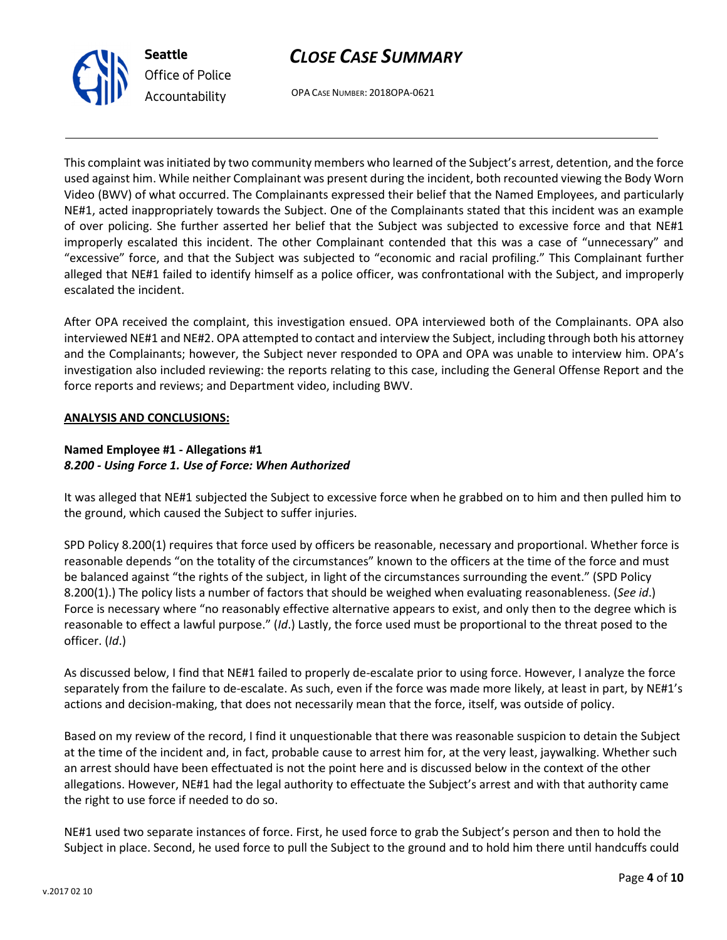



OPA CASE NUMBER: 2018OPA-0621

This complaint was initiated by two community members who learned of the Subject's arrest, detention, and the force used against him. While neither Complainant was present during the incident, both recounted viewing the Body Worn Video (BWV) of what occurred. The Complainants expressed their belief that the Named Employees, and particularly NE#1, acted inappropriately towards the Subject. One of the Complainants stated that this incident was an example of over policing. She further asserted her belief that the Subject was subjected to excessive force and that NE#1 improperly escalated this incident. The other Complainant contended that this was a case of "unnecessary" and "excessive" force, and that the Subject was subjected to "economic and racial profiling." This Complainant further alleged that NE#1 failed to identify himself as a police officer, was confrontational with the Subject, and improperly escalated the incident.

After OPA received the complaint, this investigation ensued. OPA interviewed both of the Complainants. OPA also interviewed NE#1 and NE#2. OPA attempted to contact and interview the Subject, including through both his attorney and the Complainants; however, the Subject never responded to OPA and OPA was unable to interview him. OPA's investigation also included reviewing: the reports relating to this case, including the General Offense Report and the force reports and reviews; and Department video, including BWV.

### ANALYSIS AND CONCLUSIONS:

#### Named Employee #1 - Allegations #1 8.200 - Using Force 1. Use of Force: When Authorized

It was alleged that NE#1 subjected the Subject to excessive force when he grabbed on to him and then pulled him to the ground, which caused the Subject to suffer injuries.

SPD Policy 8.200(1) requires that force used by officers be reasonable, necessary and proportional. Whether force is reasonable depends "on the totality of the circumstances" known to the officers at the time of the force and must be balanced against "the rights of the subject, in light of the circumstances surrounding the event." (SPD Policy 8.200(1).) The policy lists a number of factors that should be weighed when evaluating reasonableness. (See id.) Force is necessary where "no reasonably effective alternative appears to exist, and only then to the degree which is reasonable to effect a lawful purpose." (Id.) Lastly, the force used must be proportional to the threat posed to the officer. (Id.)

As discussed below, I find that NE#1 failed to properly de-escalate prior to using force. However, I analyze the force separately from the failure to de-escalate. As such, even if the force was made more likely, at least in part, by NE#1's actions and decision-making, that does not necessarily mean that the force, itself, was outside of policy.

Based on my review of the record, I find it unquestionable that there was reasonable suspicion to detain the Subject at the time of the incident and, in fact, probable cause to arrest him for, at the very least, jaywalking. Whether such an arrest should have been effectuated is not the point here and is discussed below in the context of the other allegations. However, NE#1 had the legal authority to effectuate the Subject's arrest and with that authority came the right to use force if needed to do so.

NE#1 used two separate instances of force. First, he used force to grab the Subject's person and then to hold the Subject in place. Second, he used force to pull the Subject to the ground and to hold him there until handcuffs could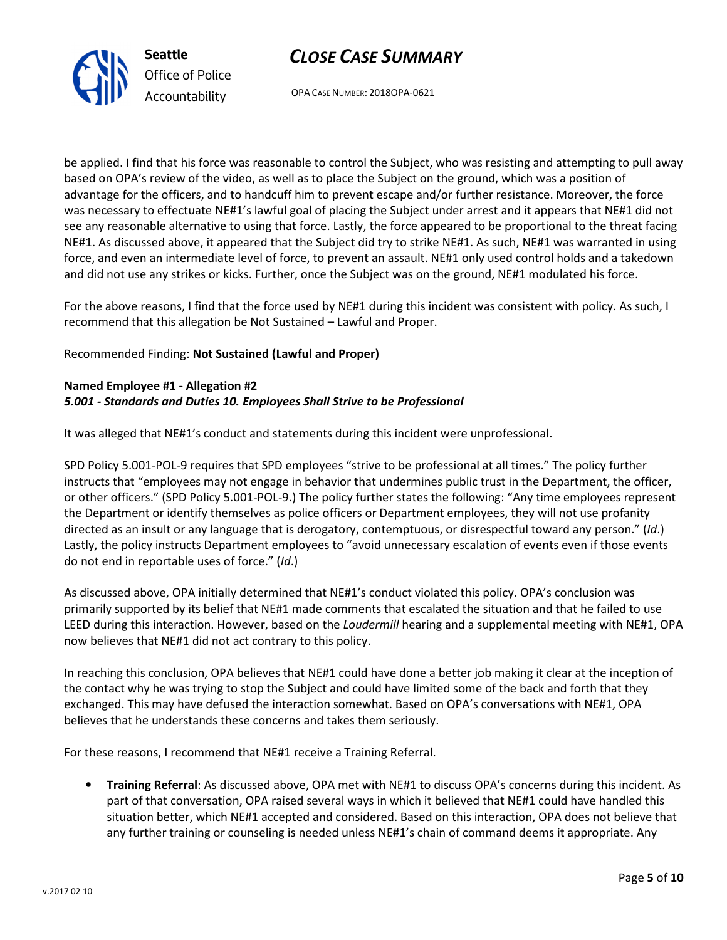



OPA CASE NUMBER: 2018OPA-0621

be applied. I find that his force was reasonable to control the Subject, who was resisting and attempting to pull away based on OPA's review of the video, as well as to place the Subject on the ground, which was a position of advantage for the officers, and to handcuff him to prevent escape and/or further resistance. Moreover, the force was necessary to effectuate NE#1's lawful goal of placing the Subject under arrest and it appears that NE#1 did not see any reasonable alternative to using that force. Lastly, the force appeared to be proportional to the threat facing NE#1. As discussed above, it appeared that the Subject did try to strike NE#1. As such, NE#1 was warranted in using force, and even an intermediate level of force, to prevent an assault. NE#1 only used control holds and a takedown and did not use any strikes or kicks. Further, once the Subject was on the ground, NE#1 modulated his force.

For the above reasons, I find that the force used by NE#1 during this incident was consistent with policy. As such, I recommend that this allegation be Not Sustained – Lawful and Proper.

### Recommended Finding: Not Sustained (Lawful and Proper)

#### Named Employee #1 - Allegation #2 5.001 - Standards and Duties 10. Employees Shall Strive to be Professional

It was alleged that NE#1's conduct and statements during this incident were unprofessional.

SPD Policy 5.001-POL-9 requires that SPD employees "strive to be professional at all times." The policy further instructs that "employees may not engage in behavior that undermines public trust in the Department, the officer, or other officers." (SPD Policy 5.001-POL-9.) The policy further states the following: "Any time employees represent the Department or identify themselves as police officers or Department employees, they will not use profanity directed as an insult or any language that is derogatory, contemptuous, or disrespectful toward any person." (Id.) Lastly, the policy instructs Department employees to "avoid unnecessary escalation of events even if those events do not end in reportable uses of force." (Id.)

As discussed above, OPA initially determined that NE#1's conduct violated this policy. OPA's conclusion was primarily supported by its belief that NE#1 made comments that escalated the situation and that he failed to use LEED during this interaction. However, based on the Loudermill hearing and a supplemental meeting with NE#1, OPA now believes that NE#1 did not act contrary to this policy.

In reaching this conclusion, OPA believes that NE#1 could have done a better job making it clear at the inception of the contact why he was trying to stop the Subject and could have limited some of the back and forth that they exchanged. This may have defused the interaction somewhat. Based on OPA's conversations with NE#1, OPA believes that he understands these concerns and takes them seriously.

For these reasons, I recommend that NE#1 receive a Training Referral.

• Training Referral: As discussed above, OPA met with NE#1 to discuss OPA's concerns during this incident. As part of that conversation, OPA raised several ways in which it believed that NE#1 could have handled this situation better, which NE#1 accepted and considered. Based on this interaction, OPA does not believe that any further training or counseling is needed unless NE#1's chain of command deems it appropriate. Any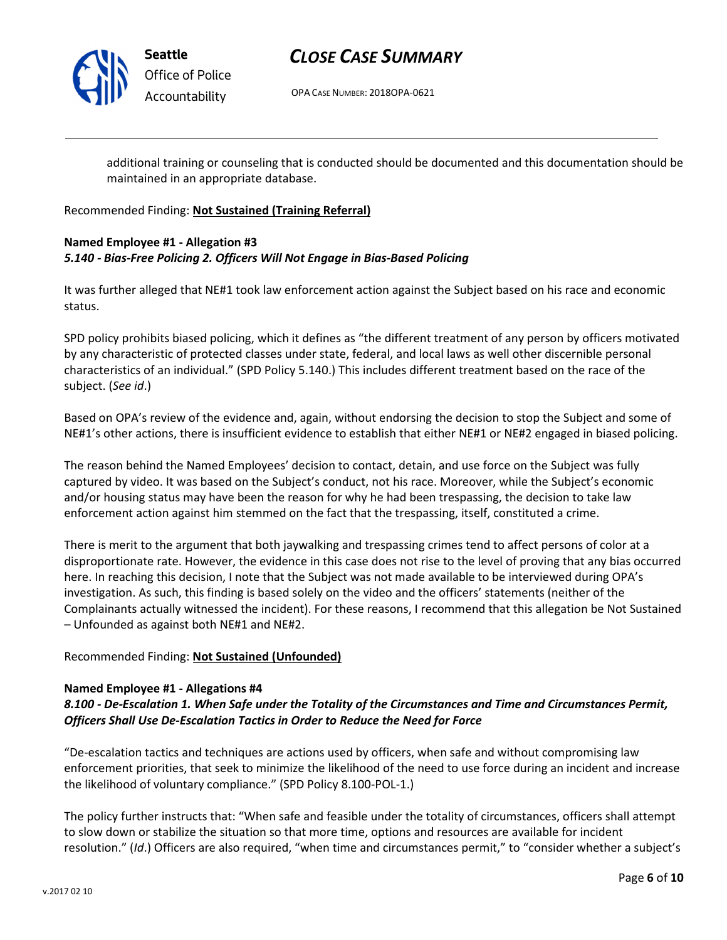

Seattle Office of Police Accountability

# CLOSE CASE SUMMARY

OPA CASE NUMBER: 2018OPA-0621

additional training or counseling that is conducted should be documented and this documentation should be maintained in an appropriate database.

Recommended Finding: Not Sustained (Training Referral)

## Named Employee #1 - Allegation #3 5.140 - Bias-Free Policing 2. Officers Will Not Engage in Bias-Based Policing

It was further alleged that NE#1 took law enforcement action against the Subject based on his race and economic status.

SPD policy prohibits biased policing, which it defines as "the different treatment of any person by officers motivated by any characteristic of protected classes under state, federal, and local laws as well other discernible personal characteristics of an individual." (SPD Policy 5.140.) This includes different treatment based on the race of the subject. (See id.)

Based on OPA's review of the evidence and, again, without endorsing the decision to stop the Subject and some of NE#1's other actions, there is insufficient evidence to establish that either NE#1 or NE#2 engaged in biased policing.

The reason behind the Named Employees' decision to contact, detain, and use force on the Subject was fully captured by video. It was based on the Subject's conduct, not his race. Moreover, while the Subject's economic and/or housing status may have been the reason for why he had been trespassing, the decision to take law enforcement action against him stemmed on the fact that the trespassing, itself, constituted a crime.

There is merit to the argument that both jaywalking and trespassing crimes tend to affect persons of color at a disproportionate rate. However, the evidence in this case does not rise to the level of proving that any bias occurred here. In reaching this decision, I note that the Subject was not made available to be interviewed during OPA's investigation. As such, this finding is based solely on the video and the officers' statements (neither of the Complainants actually witnessed the incident). For these reasons, I recommend that this allegation be Not Sustained – Unfounded as against both NE#1 and NE#2.

Recommended Finding: Not Sustained (Unfounded)

## Named Employee #1 - Allegations #4

8.100 - De-Escalation 1. When Safe under the Totality of the Circumstances and Time and Circumstances Permit, Officers Shall Use De-Escalation Tactics in Order to Reduce the Need for Force

"De-escalation tactics and techniques are actions used by officers, when safe and without compromising law enforcement priorities, that seek to minimize the likelihood of the need to use force during an incident and increase the likelihood of voluntary compliance." (SPD Policy 8.100-POL-1.)

The policy further instructs that: "When safe and feasible under the totality of circumstances, officers shall attempt to slow down or stabilize the situation so that more time, options and resources are available for incident resolution." (Id.) Officers are also required, "when time and circumstances permit," to "consider whether a subject's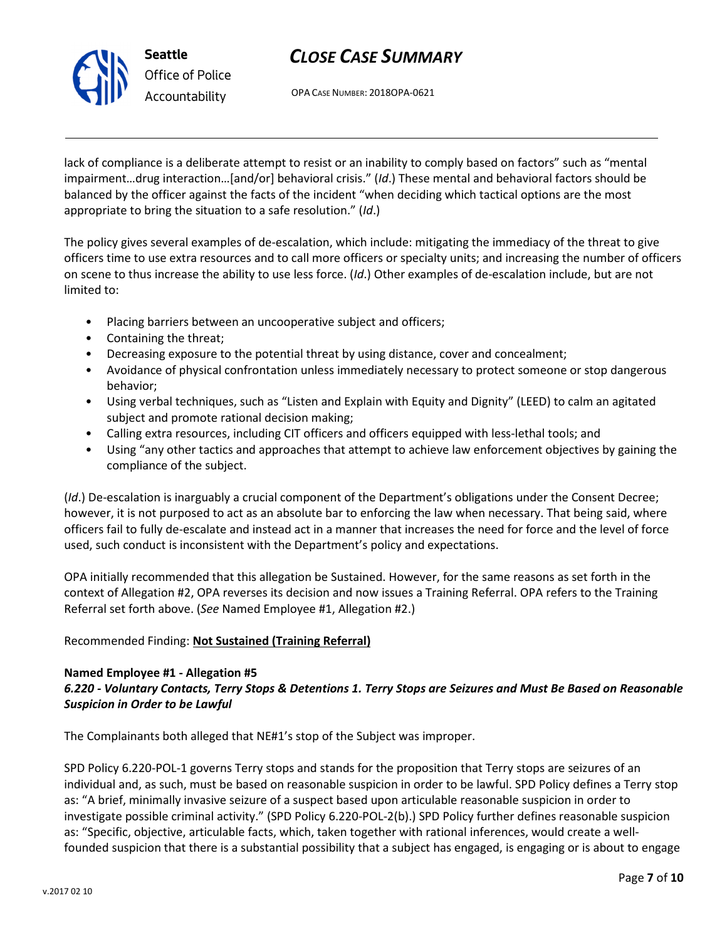

OPA CASE NUMBER: 2018OPA-0621

lack of compliance is a deliberate attempt to resist or an inability to comply based on factors" such as "mental impairment…drug interaction…[and/or] behavioral crisis." (Id.) These mental and behavioral factors should be balanced by the officer against the facts of the incident "when deciding which tactical options are the most appropriate to bring the situation to a safe resolution." (Id.)

The policy gives several examples of de-escalation, which include: mitigating the immediacy of the threat to give officers time to use extra resources and to call more officers or specialty units; and increasing the number of officers on scene to thus increase the ability to use less force. (Id.) Other examples of de-escalation include, but are not limited to:

- Placing barriers between an uncooperative subject and officers;
- Containing the threat;
- Decreasing exposure to the potential threat by using distance, cover and concealment;
- Avoidance of physical confrontation unless immediately necessary to protect someone or stop dangerous behavior;
- Using verbal techniques, such as "Listen and Explain with Equity and Dignity" (LEED) to calm an agitated subject and promote rational decision making;
- Calling extra resources, including CIT officers and officers equipped with less-lethal tools; and
- Using "any other tactics and approaches that attempt to achieve law enforcement objectives by gaining the compliance of the subject.

(Id.) De-escalation is inarguably a crucial component of the Department's obligations under the Consent Decree; however, it is not purposed to act as an absolute bar to enforcing the law when necessary. That being said, where officers fail to fully de-escalate and instead act in a manner that increases the need for force and the level of force used, such conduct is inconsistent with the Department's policy and expectations.

OPA initially recommended that this allegation be Sustained. However, for the same reasons as set forth in the context of Allegation #2, OPA reverses its decision and now issues a Training Referral. OPA refers to the Training Referral set forth above. (See Named Employee #1, Allegation #2.)

## Recommended Finding: Not Sustained (Training Referral)

## Named Employee #1 - Allegation #5

## 6.220 - Voluntary Contacts, Terry Stops & Detentions 1. Terry Stops are Seizures and Must Be Based on Reasonable Suspicion in Order to be Lawful

The Complainants both alleged that NE#1's stop of the Subject was improper.

SPD Policy 6.220-POL-1 governs Terry stops and stands for the proposition that Terry stops are seizures of an individual and, as such, must be based on reasonable suspicion in order to be lawful. SPD Policy defines a Terry stop as: "A brief, minimally invasive seizure of a suspect based upon articulable reasonable suspicion in order to investigate possible criminal activity." (SPD Policy 6.220-POL-2(b).) SPD Policy further defines reasonable suspicion as: "Specific, objective, articulable facts, which, taken together with rational inferences, would create a wellfounded suspicion that there is a substantial possibility that a subject has engaged, is engaging or is about to engage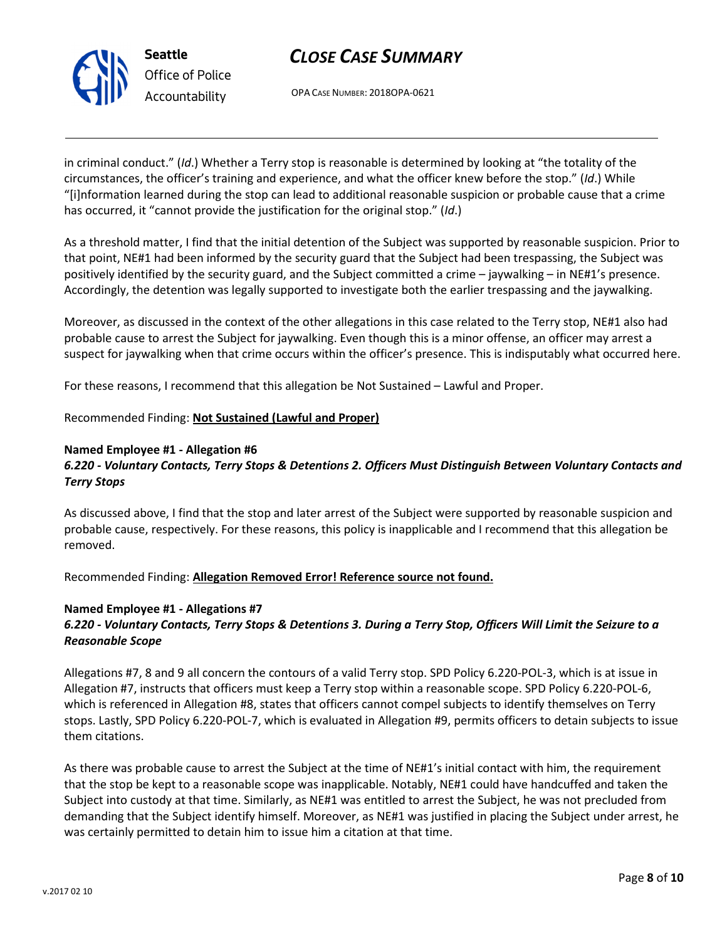

OPA CASE NUMBER: 2018OPA-0621

in criminal conduct." (Id.) Whether a Terry stop is reasonable is determined by looking at "the totality of the circumstances, the officer's training and experience, and what the officer knew before the stop." (Id.) While "[i]nformation learned during the stop can lead to additional reasonable suspicion or probable cause that a crime has occurred, it "cannot provide the justification for the original stop." (Id.)

As a threshold matter, I find that the initial detention of the Subject was supported by reasonable suspicion. Prior to that point, NE#1 had been informed by the security guard that the Subject had been trespassing, the Subject was positively identified by the security guard, and the Subject committed a crime – jaywalking – in NE#1's presence. Accordingly, the detention was legally supported to investigate both the earlier trespassing and the jaywalking.

Moreover, as discussed in the context of the other allegations in this case related to the Terry stop, NE#1 also had probable cause to arrest the Subject for jaywalking. Even though this is a minor offense, an officer may arrest a suspect for jaywalking when that crime occurs within the officer's presence. This is indisputably what occurred here.

For these reasons, I recommend that this allegation be Not Sustained – Lawful and Proper.

## Recommended Finding: Not Sustained (Lawful and Proper)

#### Named Employee #1 - Allegation #6

# 6.220 - Voluntary Contacts, Terry Stops & Detentions 2. Officers Must Distinguish Between Voluntary Contacts and Terry Stops

As discussed above, I find that the stop and later arrest of the Subject were supported by reasonable suspicion and probable cause, respectively. For these reasons, this policy is inapplicable and I recommend that this allegation be removed.

Recommended Finding: Allegation Removed Error! Reference source not found.

## Named Employee #1 - Allegations #7 6.220 - Voluntary Contacts, Terry Stops & Detentions 3. During a Terry Stop, Officers Will Limit the Seizure to a Reasonable Scope

Allegations #7, 8 and 9 all concern the contours of a valid Terry stop. SPD Policy 6.220-POL-3, which is at issue in Allegation #7, instructs that officers must keep a Terry stop within a reasonable scope. SPD Policy 6.220-POL-6, which is referenced in Allegation #8, states that officers cannot compel subjects to identify themselves on Terry stops. Lastly, SPD Policy 6.220-POL-7, which is evaluated in Allegation #9, permits officers to detain subjects to issue them citations.

As there was probable cause to arrest the Subject at the time of NE#1's initial contact with him, the requirement that the stop be kept to a reasonable scope was inapplicable. Notably, NE#1 could have handcuffed and taken the Subject into custody at that time. Similarly, as NE#1 was entitled to arrest the Subject, he was not precluded from demanding that the Subject identify himself. Moreover, as NE#1 was justified in placing the Subject under arrest, he was certainly permitted to detain him to issue him a citation at that time.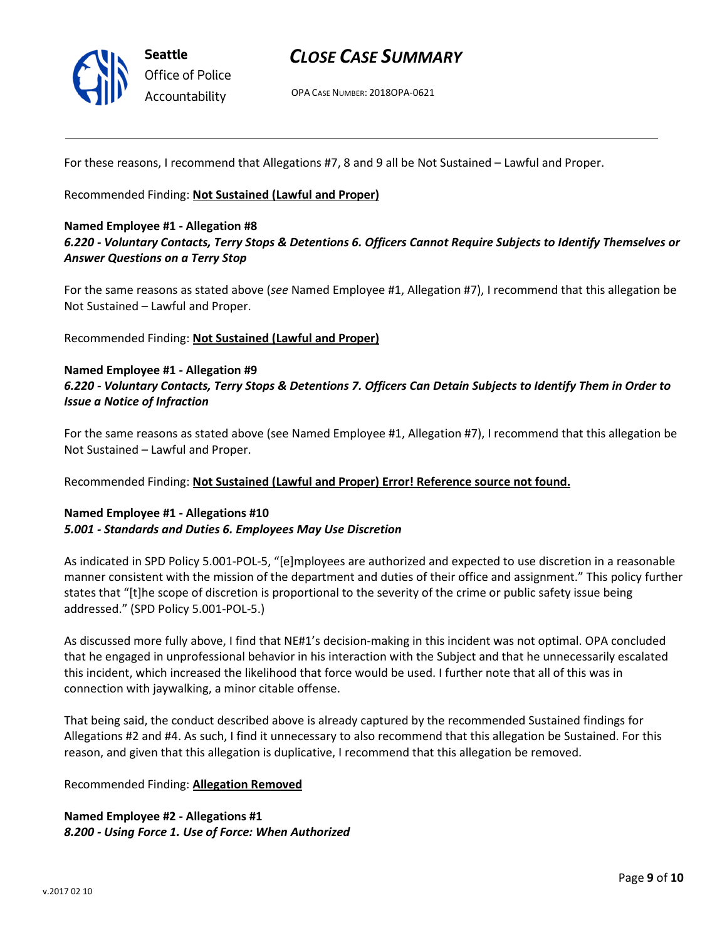

OPA CASE NUMBER: 2018OPA-0621

For these reasons, I recommend that Allegations #7, 8 and 9 all be Not Sustained – Lawful and Proper.

Recommended Finding: Not Sustained (Lawful and Proper)

#### Named Employee #1 - Allegation #8

## 6.220 - Voluntary Contacts, Terry Stops & Detentions 6. Officers Cannot Require Subjects to Identify Themselves or Answer Questions on a Terry Stop

For the same reasons as stated above (see Named Employee #1, Allegation #7), I recommend that this allegation be Not Sustained – Lawful and Proper.

Recommended Finding: Not Sustained (Lawful and Proper)

#### Named Employee #1 - Allegation #9

## 6.220 - Voluntary Contacts, Terry Stops & Detentions 7. Officers Can Detain Subjects to Identify Them in Order to Issue a Notice of Infraction

For the same reasons as stated above (see Named Employee #1, Allegation #7), I recommend that this allegation be Not Sustained – Lawful and Proper.

Recommended Finding: Not Sustained (Lawful and Proper) Error! Reference source not found.

#### Named Employee #1 - Allegations #10 5.001 - Standards and Duties 6. Employees May Use Discretion

As indicated in SPD Policy 5.001-POL-5, "[e]mployees are authorized and expected to use discretion in a reasonable manner consistent with the mission of the department and duties of their office and assignment." This policy further states that "[t]he scope of discretion is proportional to the severity of the crime or public safety issue being addressed." (SPD Policy 5.001-POL-5.)

As discussed more fully above, I find that NE#1's decision-making in this incident was not optimal. OPA concluded that he engaged in unprofessional behavior in his interaction with the Subject and that he unnecessarily escalated this incident, which increased the likelihood that force would be used. I further note that all of this was in connection with jaywalking, a minor citable offense.

That being said, the conduct described above is already captured by the recommended Sustained findings for Allegations #2 and #4. As such, I find it unnecessary to also recommend that this allegation be Sustained. For this reason, and given that this allegation is duplicative, I recommend that this allegation be removed.

#### Recommended Finding: Allegation Removed

Named Employee #2 - Allegations #1 8.200 - Using Force 1. Use of Force: When Authorized